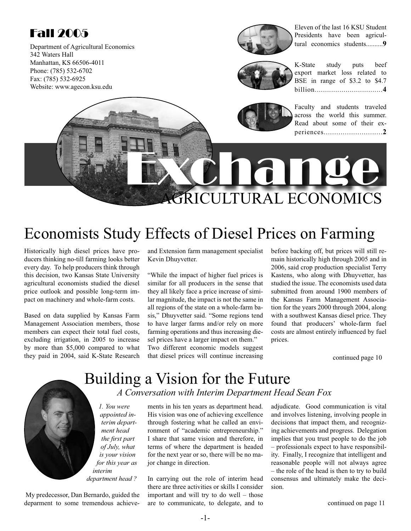## Fall 2005

Department of Agricultural Economics 342 Waters Hall Manhattan, KS 66506-4011 Phone: (785) 532-6702 Fax: (785) 532-6925 Website: www.agecon.ksu.edu



Eleven of the last 16 KSU Student Presidents have been agricultural economics students..........**9**



K-State study puts beef export market loss related to BSE in range of \$3.2 to \$4.7 billion.................................**4**



Exchange

Faculty and students traveled across the world this summer. Read about some of their experiences............................**2**

## AGRICULTURAL ECONOMICS Economists Study Effects of Diesel Prices on Farming

Historically high diesel prices have producers thinking no-till farming looks better every day. To help producers think through this decision, two Kansas State University agricultural economists studied the diesel price outlook and possible long-term impact on machinery and whole-farm costs.

Based on data supplied by Kansas Farm Management Association members, those members can expect their total fuel costs, excluding irrigation, in 2005 to increase by more than \$5,000 compared to what they paid in 2004, said K-State Research

and Extension farm management specialist Kevin Dhuyvetter.

"While the impact of higher fuel prices is similar for all producers in the sense that they all likely face a price increase of similar magnitude, the impact is not the same in all regions of the state on a whole-farm basis," Dhuyvetter said. "Some regions tend to have larger farms and/or rely on more farming operations and thus increasing diesel prices have a larger impact on them." Two different economic models suggest that diesel prices will continue increasing before backing off, but prices will still remain historically high through 2005 and in 2006, said crop production specialist Terry Kastens, who along with Dhuyvetter, has studied the issue. The economists used data submitted from around 1900 members of the Kansas Farm Management Association for the years 2000 through 2004, along with a southwest Kansas diesel price. They found that producers' whole-farm fuel costs are almost entirely influenced by fuel prices.

continued page 10

### Building a Vision for the Future *A Conversation with Interim Department Head Sean Fox*

*1. You were appointed interim department head the first part of July, what is your vision for this year as interim department head ?*

 My predecessor, Dan Bernardo, guided the deparment to some tremendous achievements in his ten years as department head. His vision was one of achieving excellence through fostering what he called an environment of "academic entrepreneurship." I share that same vision and therefore, in terms of where the department is headed for the next year or so, there will be no major change in direction.

In carrying out the role of interim head there are three activities or skills I consider important and will try to do well – those are to communicate, to delegate, and to adjudicate. Good communication is vital and involves listening, involving people in decisions that impact them, and recognizing achievements and progress. Delegation implies that you trust people to do the job – professionals expect to have responsibility. Finally, I recognize that intelligent and reasonable people will not always agree – the role of the head is then to try to build consensus and ultimately make the decision.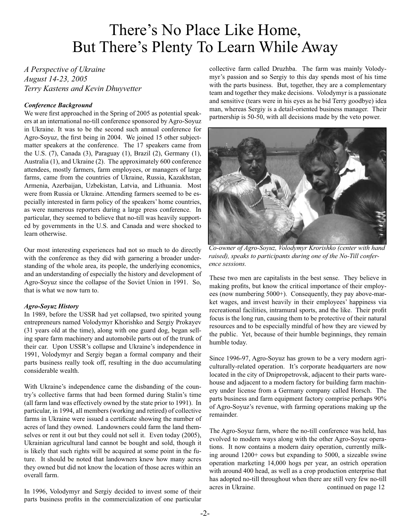## There's No Place Like Home, But There's Plenty To Learn While Away

*A Perspective of Ukraine August 14-23, 2005 Terry Kastens and Kevin Dhuyvetter*

#### *Conference Background*

We were first approached in the Spring of 2005 as potential speakers at an international no-till conference sponsored by Agro-Soyuz in Ukraine. It was to be the second such annual conference for Agro-Soyuz, the first being in 2004. We joined 15 other subjectmatter speakers at the conference. The 17 speakers came from the U.S. (7), Canada (3), Paraguay (1), Brazil (2), Germany (1), Australia (1), and Ukraine (2). The approximately 600 conference attendees, mostly farmers, farm employees, or managers of large farms, came from the countries of Ukraine, Russia, Kazakhstan, Armenia, Azerbaijan, Uzbekistan, Latvia, and Lithuania. Most were from Russia or Ukraine. Attending farmers seemed to be especially interested in farm policy of the speakers' home countries, as were numerous reporters during a large press conference. In particular, they seemed to believe that no-till was heavily supported by governments in the U.S. and Canada and were shocked to learn otherwise.

Our most interesting experiences had not so much to do directly with the conference as they did with garnering a broader understanding of the whole area, its people, the underlying economics, and an understanding of especially the history and development of Agro-Soyuz since the collapse of the Soviet Union in 1991. So, that is what we now turn to.

#### *Agro-Soyuz History*

In 1989, before the USSR had yet collapsed, two spirited young entrepreneurs named Volodymyr Khorishko and Sergiy Prokayev (31 years old at the time), along with one guard dog, began selling spare farm machinery and automobile parts out of the trunk of their car. Upon USSR's collapse and Ukraine's independence in 1991, Volodymyr and Sergiy began a formal company and their parts business really took off, resulting in the duo accumulating considerable wealth.

With Ukraine's independence came the disbanding of the country's collective farms that had been formed during Stalin's time (all farm land was effectively owned by the state prior to 1991). In particular, in 1994, all members (working and retired) of collective farms in Ukraine were issued a certificate showing the number of acres of land they owned. Landowners could farm the land themselves or rent it out but they could not sell it. Even today (2005), Ukrainian agricultural land cannot be bought and sold, though it is likely that such rights will be acquired at some point in the future. It should be noted that landowners knew how many acres they owned but did not know the location of those acres within an overall farm.

In 1996, Volodymyr and Sergiy decided to invest some of their parts business profits in the commercialization of one particular

collective farm called Druzhba. The farm was mainly Volodymyr's passion and so Sergiy to this day spends most of his time with the parts business. But, together, they are a complementary team and together they make decisions. Volodymyr is a passionate and sensitive (tears were in his eyes as he bid Terry goodbye) idea man, whereas Sergiy is a detail-oriented business manager. Their partnership is 50-50, with all decisions made by the veto power.



*Co-owner of Agro-Soyuz, Volodymyr Krorishko (center with hand raised), speaks to participants during one of the No-Till conference sessions.* 

These two men are capitalists in the best sense. They believe in making profits, but know the critical importance of their employees (now numbering 5000+). Consequently, they pay above-market wages, and invest heavily in their employees' happiness via recreational facilities, intramural sports, and the like. Their profit focus is the long run, causing them to be protective of their natural resources and to be especially mindful of how they are viewed by the public. Yet, because of their humble beginnings, they remain humble today.

Since 1996-97, Agro-Soyuz has grown to be a very modern agriculturally-related operation. It's corporate headquarters are now located in the city of Dnipropetrovsk, adjacent to their parts warehouse and adjacent to a modern factory for building farm machinery under license from a Germany company called Horsch. The parts business and farm equipment factory comprise perhaps 90% of Agro-Soyuz's revenue, with farming operations making up the remainder.

The Agro-Soyuz farm, where the no-till conference was held, has evolved to modern ways along with the other Agro-Soyuz operations. It now contains a modern dairy operation, currently milking around 1200+ cows but expanding to 5000, a sizeable swine operation marketing 14,000 hogs per year, an ostrich operation with around 400 head, as well as a crop production enterprise that has adopted no-till throughout when there are still very few no-till acres in Ukraine. continued on page 12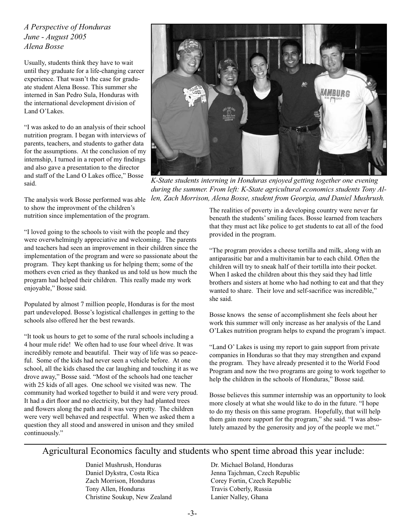*A Perspective of Honduras June - August 2005 Alena Bosse*

Usually, students think they have to wait until they graduate for a life-changing career experience. That wasn't the case for graduate student Alena Bosse. This summer she interned in San Pedro Sula, Honduras with the international development division of Land O'Lakes.

"I was asked to do an analysis of their school nutrition program. I began with interviews of parents, teachers, and students to gather data for the assumptions. At the conclusion of my internship, I turned in a report of my findings and also gave a presentation to the director and staff of the Land O Lakes office," Bosse said.



*K-State students interning in Honduras enjoyed getting together one evening during the summer. From left: K-State agricultural economics students Tony Allen, Zach Morrison, Alena Bosse, student from Georgia, and Daniel Mushrush.*

The analysis work Bosse performed was able to show the improvment of the children's nutrition since implementation of the program.

"I loved going to the schools to visit with the people and they were overwhelmingly appreciative and welcoming. The parents and teachers had seen an improvement in their children since the implementation of the program and were so passionate about the program. They kept thanking us for helping them; some of the mothers even cried as they thanked us and told us how much the program had helped their children. This really made my work enjoyable," Bosse said.

Populated by almost 7 million people, Honduras is for the most part undeveloped. Bosse's logistical challenges in getting to the schools also offered her the best rewards.

"It took us hours to get to some of the rural schools including a 4 hour mule ride! We often had to use four wheel drive. It was incredibly remote and beautiful. Their way of life was so peaceful. Some of the kids had never seen a vehicle before. At one school, all the kids chased the car laughing and touching it as we drove away," Bosse said. "Most of the schools had one teacher with 25 kids of all ages. One school we visited was new. The community had worked together to build it and were very proud. It had a dirt floor and no electricity, but they had planted trees and flowers along the path and it was very pretty. The children were very well behaved and respectful. When we asked them a question they all stood and answered in unison and they smiled continuously."

The realities of poverty in a developing country were never far beneath the students' smiling faces. Bosse learned from teachers that they must act like police to get students to eat all of the food provided in the program.

"The program provides a cheese tortilla and milk, along with an antiparasitic bar and a multivitamin bar to each child. Often the children will try to sneak half of their tortilla into their pocket. When I asked the children about this they said they had little brothers and sisters at home who had nothing to eat and that they wanted to share. Their love and self-sacrifice was incredible." she said.

Bosse knows the sense of accomplishment she feels about her work this summer will only increase as her analysis of the Land O'Lakes nutrition program helps to expand the program's impact.

"Land O' Lakes is using my report to gain support from private companies in Honduras so that they may strengthen and expand the program. They have already presented it to the World Food Program and now the two programs are going to work together to help the children in the schools of Honduras," Bosse said.

Bosse believes this summer internship was an opportunity to look more closely at what she would like to do in the future. "I hope to do my thesis on this same program. Hopefully, that will help them gain more support for the program," she said. "I was absolutely amazed by the generosity and joy of the people we met."

#### Agricultural Economics faculty and students who spent time abroad this year include:

Daniel Mushrush, Honduras Daniel Dykstra, Costa Rica Zach Morrison, Honduras Tony Allen, Honduras Christine Soukup, New Zealand

Dr. Michael Boland, Honduras Jenna Tajchman, Czech Republic Corey Fortin, Czech Republic Travis Coberly, Russia Lanier Nalley, Ghana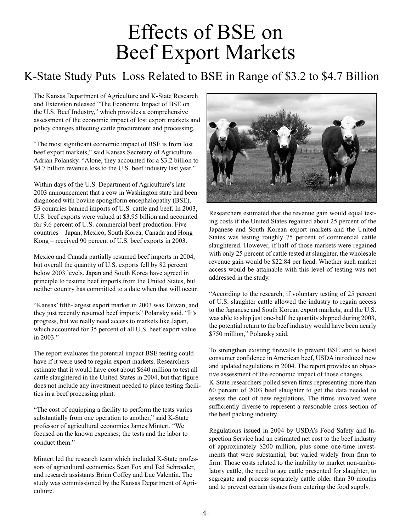## Effects of BSE on Beef Export Markets

## K-State Study Puts Loss Related to BSE in Range of \$3.2 to \$4.7 Billion

The Kansas Department of Agriculture and K-State Research and Extension released "The Economic Impact of BSE on the U.S. Beef Industry," which provides a comprehensive assessment of the economic impact of lost export markets and policy changes affecting cattle procurement and processing.

"The most significant economic impact of BSE is from lost beef export markets," said Kansas Secretary of Agriculture Adrian Polansky. "Alone, they accounted for a \$3.2 billion to \$4.7 billion revenue loss to the U.S. beef industry last year."

Within days of the U.S. Department of Agriculture's late 2003 announcement that a cow in Washington state had been diagnosed with bovine spongiform encephalopathy (BSE), 53 countries banned imports of U.S. cattle and beef. In 2003, U.S. beef exports were valued at \$3.95 billion and accounted for 9.6 percent of U.S. commercial beef production. Five countries – Japan, Mexico, South Korea, Canada and Hong Kong – received 90 percent of U.S. beef exports in 2003.

Mexico and Canada partially resumed beef imports in 2004, but overall the quantity of U.S. exports fell by 82 percent below 2003 levels. Japan and South Korea have agreed in principle to resume beef imports from the United States, but neither country has committed to a date when that will occur.

"Kansas' fifth-largest export market in 2003 was Taiwan, and they just recently resumed beef imports" Polansky said. "It's progress, but we really need access to markets like Japan, which accounted for 35 percent of all U.S. beef export value in 2003."

The report evaluates the potential impact BSE testing could have if it were used to regain export markets. Researchers estimate that it would have cost about \$640 million to test all cattle slaughtered in the United States in 2004, but that figure does not include any investment needed to place testing facilities in a beef processing plant.

"The cost of equipping a facility to perform the tests varies substantially from one operation to another," said K-State professor of agricultural economics James Mintert. "We focused on the known expenses; the tests and the labor to conduct them."

Mintert led the research team which included K-State professors of agricultural economics Sean Fox and Ted Schroeder, and research assistants Brian Coffey and Luc Valentin. The study was commissioned by the Kansas Department of Agriculture.



Researchers estimated that the revenue gain would equal testing costs if the United States regained about 25 percent of the Japanese and South Korean export markets and the United States was testing roughly 75 percent of commercial cattle slaughtered. However, if half of those markets were regained with only 25 percent of cattle tested at slaughter, the wholesale revenue gain would be \$22.84 per head. Whether such market access would be attainable with this level of testing was not addressed in the study.

"According to the research, if voluntary testing of 25 percent of U.S. slaughter cattle allowed the industry to regain access to the Japanese and South Korean export markets, and the U.S. was able to ship just one-half the quantity shipped during 2003, the potential return to the beef industry would have been nearly \$750 million," Polansky said.

To strengthen existing firewalls to prevent BSE and to boost consumer confidence in American beef, USDA introduced new and updated regulations in 2004. The report provides an objective assessment of the economic impact of those changes. K-State researchers polled seven firms representing more than 60 percent of 2003 beef slaughter to get the data needed to assess the cost of new regulations. The firms involved were sufficiently diverse to represent a reasonable cross-section of the beef packing industry.

Regulations issued in 2004 by USDA's Food Safety and Inspection Service had an estimated net cost to the beef industry of approximately \$200 million, plus some one-time investments that were substantial, but varied widely from firm to firm. Those costs related to the inability to market non-ambulatory cattle, the need to age cattle presented for slaughter, to segregate and process separately cattle older than 30 months and to prevent certain tissues from entering the food supply.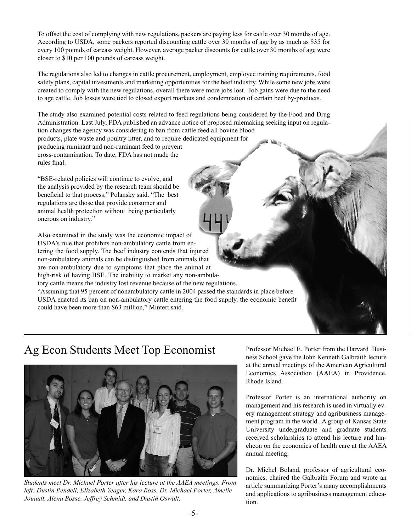To offset the cost of complying with new regulations, packers are paying less for cattle over 30 months of age. According to USDA, some packers reported discounting cattle over 30 months of age by as much as \$35 for every 100 pounds of carcass weight. However, average packer discounts for cattle over 30 months of age were closer to \$10 per 100 pounds of carcass weight.

The regulations also led to changes in cattle procurement, employment, employee training requirements, food safety plans, capital investments and marketing opportunities for the beef industry. While some new jobs were created to comply with the new regulations, overall there were more jobs lost. Job gains were due to the need to age cattle. Job losses were tied to closed export markets and condemnation of certain beef by-products.

The study also examined potential costs related to feed regulations being considered by the Food and Drug Administration. Last July, FDA published an advance notice of proposed rulemaking seeking input on regulation changes the agency was considering to ban from cattle feed all bovine blood

products, plate waste and poultry litter, and to require dedicated equipment for producing ruminant and non-ruminant feed to prevent cross-contamination. To date, FDA has not made the rules final.

"BSE-related policies will continue to evolve, and the analysis provided by the research team should be beneficial to that process," Polansky said. "The best regulations are those that provide consumer and animal health protection without being particularly onerous on industry."

Also examined in the study was the economic impact of USDA's rule that prohibits non-ambulatory cattle from entering the food supply. The beef industry contends that injured non-ambulatory animals can be distinguished from animals that are non-ambulatory due to symptoms that place the animal at high-risk of having BSE. The inability to market any non-ambulatory cattle means the industry lost revenue because of the new regulations. "Assuming that 95 percent of nonambulatory cattle in 2004 passed the standards in place before USDA enacted its ban on non-ambulatory cattle entering the food supply, the economic benefit could have been more than \$63 million," Mintert said.

### Ag Econ Students Meet Top Economist Professor Michael E. Porter from the Harvard Busi-



*Students meet Dr. Michael Porter after his lecture at the AAEA meetings. From left: Dustin Pendell, Elizabeth Yeager, Kara Ross, Dr. Michael Porter, Amelie Jouault, Alena Bosse, Jeffrey Schmidt, and Dustin Oswalt.*

ness School gave the John Kenneth Galbraith lecture at the annual meetings of the American Agricultural Economics Association (AAEA) in Providence, Rhode Island.

Professor Porter is an international authority on management and his research is used in virtually every management strategy and agribusiness management program in the world. A group of Kansas State University undergraduate and graduate students received scholarships to attend his lecture and luncheon on the economics of health care at the AAEA annual meeting.

Dr. Michel Boland, professor of agricultural economics, chaired the Galbraith Forum and wrote an article summarizing Porter's many accomplishments and applications to agribusiness management education.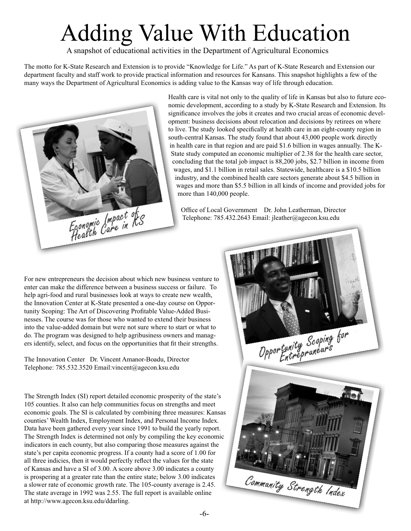## Adding Value With Education

A snapshot of educational activities in the Department of Agricultural Economics

The motto for K-State Research and Extension is to provide "Knowledge for Life." As part of K-State Research and Extension our department faculty and staff work to provide practical information and resources for Kansans. This snapshot highlights a few of the many ways the Department of Agricultural Economics is adding value to the Kansas way of life through education.



Health care is vital not only to the quality of life in Kansas but also to future economic development, according to a study by K-State Research and Extension. Its significance involves the jobs it creates and two crucial areas of economic development: business decisions about relocation and decisions by retirees on where to live. The study looked specifically at health care in an eight-county region in south-central Kansas. The study found that about 43,000 people work directly in health care in that region and are paid \$1.6 billion in wages annually. The K-State study computed an economic multiplier of 2.38 for the health care sector, concluding that the total job impact is 88,200 jobs, \$2.7 billion in income from wages, and \$1.1 billion in retail sales. Statewide, healthcare is a \$10.5 billion industry, and the combined health care sectors generate about \$4.5 billion in wages and more than \$5.5 billion in all kinds of income and provided jobs for more than 140,000 people.

Office of Local Government Dr. John Leatherman, Director Telephone: 785.432.2643 Email: jleather@agecon.ksu.edu

For new entrepreneurs the decision about which new business venture to enter can make the difference between a business success or failure. To help agri-food and rural businesses look at ways to create new wealth, the Innovation Center at K-State presented a one-day course on Opportunity Scoping: The Art of Discovering Profitable Value-Added Businesses. The course was for those who wanted to extend their business into the value-added domain but were not sure where to start or what to do. The program was designed to help agribusiness owners and managers identify, select, and focus on the opportunities that fit their strengths.

The Innovation Center Dr. Vincent Amanor-Boadu, Director Telephone: 785.532.3520 Email:vincent@agecon.ksu.edu

The Strength Index (SI) report detailed economic prosperity of the state's 105 counties. It also can help communities focus on strengths and meet economic goals. The SI is calculated by combining three measures: Kansas counties' Wealth Index, Employment Index, and Personal Income Index. Data have been gathered every year since 1991 to build the yearly report. The Strength Index is determined not only by compiling the key economic indicators in each county, but also comparing those measures against the state's per capita economic progress. If a county had a score of 1.00 for all three indicies, then it would perfectly reflect the values for the state of Kansas and have a SI of 3.00. A score above 3.00 indicates a county is prospering at a greater rate than the entire state; below 3.00 indicates a slower rate of economic growth rate. The 105-county average is 2.45. The state average in 1992 was 2.55. The full report is available online at http://www.agecon.ksu.edu/ddarling.

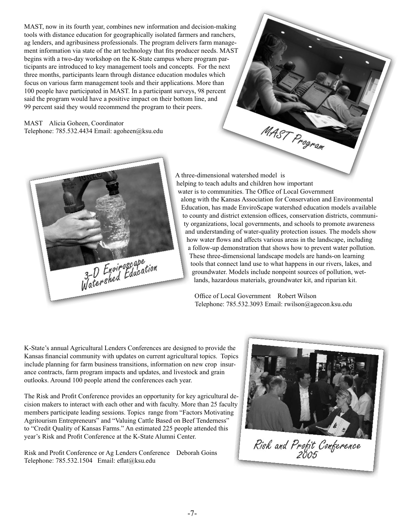MAST, now in its fourth year, combines new information and decision-making tools with distance education for geographically isolated farmers and ranchers, ag lenders, and agribusiness professionals. The program delivers farm management information via state of the art technology that fits producer needs. MAST begins with a two-day workshop on the K-State campus where program participants are introduced to key management tools and concepts. For the next three months, participants learn through distance education modules which focus on various farm management tools and their applications. More than 100 people have participated in MAST. In a participant surveys, 98 percent said the program would have a positive impact on their bottom line, and 99 percent said they would recommend the program to their peers.

MAST Alicia Goheen, Coordinator Telephone: 785.532.4434 Email: agoheen@ksu.edu



A three-dimensional watershed model is helping to teach adults and children how important water is to communities. The Office of Local Government along with the Kansas Association for Conservation and Environmental Education, has made EnviroScape watershed education models available to county and district extension offices, conservation districts, community organizations, local governments, and schools to promote awareness and understanding of water-quality protection issues. The models show how water flows and affects various areas in the landscape, including a follow-up demonstration that shows how to prevent water pollution. These three-dimensional landscape models are hands-on learning tools that connect land use to what happens in our rivers, lakes, and groundwater. Models include nonpoint sources of pollution, wetlands, hazardous materials, groundwater kit, and riparian kit.

MAST Program

Office of Local Government Robert Wilson Telephone: 785.532.3093 Email: rwilson@agecon.ksu.edu

K-State's annual Agricultural Lenders Conferences are designed to provide the Kansas financial community with updates on current agricultural topics. Topics include planning for farm business transitions, information on new crop insurance contracts, farm program impacts and updates, and livestock and grain outlooks. Around 100 people attend the conferences each year.

The Risk and Profit Conference provides an opportunity for key agricultural decision makers to interact with each other and with faculty. More than 25 faculty members participate leading sessions. Topics range from "Factors Motivating Agritourism Entrepreneurs" and "Valuing Cattle Based on Beef Tenderness" to "Credit Quality of Kansas Farms." An estimated 225 people attended this year's Risk and Profit Conference at the K-State Alumni Center.

Risk and Profit Conference or Ag Lenders Conference Deborah Goins Telephone: 785.532.1504 Email: eflat@ksu.edu



Risk and Profit Conference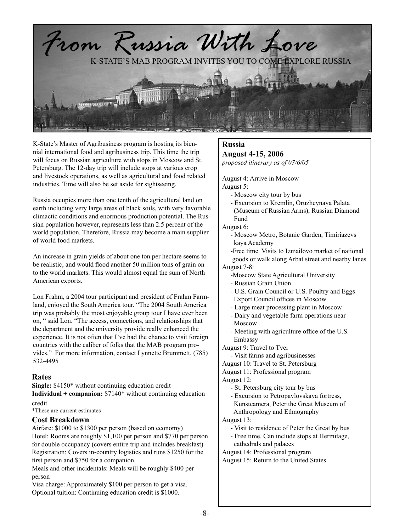

K-State's Master of Agribusiness program is hosting its biennial international food and agribusiness trip. This time the trip will focus on Russian agriculture with stops in Moscow and St. Petersburg. The 12-day trip will include stops at various crop and livestock operations, as well as agricultural and food related industries. Time will also be set aside for sightseeing.

Russia occupies more than one tenth of the agricultural land on earth including very large areas of black soils, with very favorable climactic conditions and enormous production potential. The Russian population however, represents less than 2.5 percent of the world population. Therefore, Russia may become a main supplier of world food markets.

An increase in grain yields of about one ton per hectare seems to be realistic, and would flood another 50 million tons of grain on to the world markets. This would almost equal the sum of North American exports.

Lon Frahm, a 2004 tour participant and president of Frahm Farmland, enjoyed the South America tour. "The 2004 South America trip was probably the most enjoyable group tour I have ever been on, " said Lon. "The access, connections, and relationships that the department and the university provide really enhanced the experience. It is not often that I've had the chance to visit foreign countries with the caliber of folks that the MAB program provides." For more information, contact Lynnette Brummett, (785) 532-4495

#### **Rates**

**Single:** \$4150\* without continuing education credit **Individual + companion:** \$7140\* without continuing education

#### credit

\*These are current estimates

#### **Cost Breakdown**

Airfare: \$1000 to \$1300 per person (based on economy) Hotel: Rooms are roughly \$1,100 per person and \$770 per person for double occupancy (covers entire trip and includes breakfast) Registration: Covers in-country logistics and runs \$1250 for the first person and \$750 for a companion.

Meals and other incidentals: Meals will be roughly \$400 per person

Visa charge: Approximately \$100 per person to get a visa. Optional tuition: Continuing education credit is \$1000.

#### **Russia**

#### **August 4-15, 2006**

*proposed itinerary as of 07/6/05*

August 4: Arrive in Moscow August 5:

- Moscow city tour by bus
- Excursion to Kremlin, Oruzheynaya Palata (Museum of Russian Arms), Russian Diamond Fund

August 6:

 - Moscow Metro, Botanic Garden, Timiriazevs kaya Academy

 -Free time. Visits to Izmailovo market of national goods or walk along Arbat street and nearby lanes August 7-8:

- -Moscow State Agricultural University
- Russian Grain Union
- U.S. Grain Council or U.S. Poultry and Eggs Export Council offices in Moscow
- Large meat processing plant in Moscow
- Dairy and vegetable farm operations near Moscow
- Meeting with agriculture office of the U.S. Embassy

August 9: Travel to Tver

- Visit farms and agribusinesses
- August 10: Travel to St. Petersburg
- August 11: Professional program

August 12:

- St. Petersburg city tour by bus
- Excursion to Petropavlovskaya fortress,
- Kunstcamera, Peter the Great Museum of
- Anthropology and Ethnography
- August 13:
	- Visit to residence of Peter the Great by bus - Free time. Can include stops at Hermitage,
	- cathedrals and palaces
- August 14: Professional program
- August 15: Return to the United States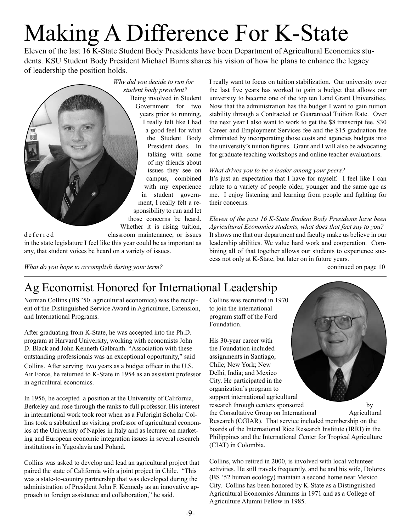# Making A Difference For K-State

Eleven of the last 16 K-State Student Body Presidents have been Department of Agricultural Economics students. KSU Student Body President Michael Burns shares his vision of how he plans to enhance the legacy of leadership the position holds.



d e f e r r e d classroom maintenance, or issues in the state legislature I feel like this year could be as important as any, that student voices be heard on a variety of issues.

I really want to focus on tuition stabilization. Our university over the last five years has worked to gain a budget that allows our university to become one of the top ten Land Grant Universities. Now that the administration has the budget I want to gain tuition stability through a Contracted or Guaranteed Tuition Rate. Over the next year I also want to work to get the \$8 transcript fee, \$30 Career and Employment Services fee and the \$15 graduation fee eliminated by incorporating those costs and agencies budgets into the university's tuition figures. Grant and I will also be advocating for graduate teaching workshops and online teacher evaluations.

#### *What drives you to be a leader among your peers?*

It's just an expectation that I have for myself. I feel like I can relate to a variety of people older, younger and the same age as me. I enjoy listening and learning from people and fighting for their concerns.

*Eleven of the past 16 K-State Student Body Presidents have been Agricultural Economics students, what does that fact say to you?* It shows me that our department and faculty make us believe in our leadership abilities. We value hard work and cooperation. Combining all of that together allows our students to experience success not only at K-State, but later on in future years.

continued on page 10

#### *What do you hope to accomplish during your term?*

## Ag Economist Honored for International Leadership

Norman Collins (BS '50 agricultural economics) was the recipient of the Distinguished Service Award in Agriculture, Extension, and International Programs.

After graduating from K-State, he was accepted into the Ph.D. program at Harvard University, working with economists John D. Black and John Kenneth Galbraith. "Association with these outstanding professionals was an exceptional opportunity," said Collins. After serving two years as a budget officer in the U.S. Air Force, he returned to K-State in 1954 as an assistant professor in agricultural economics.

In 1956, he accepted a position at the University of California, Berkeley and rose through the ranks to full professor. His interest in international work took root when as a Fulbright Scholar Collins took a sabbatical as visiting professor of agricultural economics at the University of Naples in Italy and as lecturer on marketing and European economic integration issues in several research institutions in Yugoslavia and Poland.

Collins was asked to develop and lead an agricultural project that paired the state of California with a joint project in Chile. "This was a state-to-country partnership that was developed during the administration of President John F. Kennedy as an innovative approach to foreign assistance and collaboration," he said.

Collins was recruited in 1970 to join the international program staff of the Ford Foundation.

His 30-year career with the Foundation included assignments in Santiago, Chile; New York; New Delhi, India; and Mexico City. He participated in the organization's program to support international agricultural research through centers sponsored by



the Consultative Group on International Agricultural Research (CGIAR). That service included membership on the boards of the International Rice Research Institute (IRRI) in the Philippines and the International Center for Tropical Agriculture (CIAT) in Colombia.

Collins, who retired in 2000, is involved with local volunteer activities. He still travels frequently, and he and his wife, Dolores (BS '52 human ecology) maintain a second home near Mexico City. Collins has been honored by K-State as a Distinguished Agricultural Economics Alumnus in 1971 and as a College of Agriculture Alumni Fellow in 1985.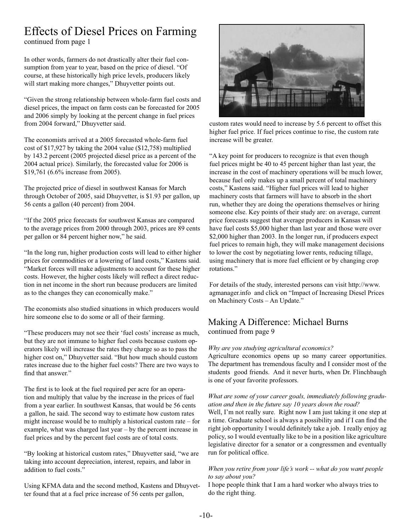## Effects of Diesel Prices on Farming

continued from page 1

In other words, farmers do not drastically alter their fuel consumption from year to year, based on the price of diesel. "Of course, at these historically high price levels, producers likely will start making more changes," Dhuyvetter points out.

"Given the strong relationship between whole-farm fuel costs and diesel prices, the impact on farm costs can be forecasted for 2005 and 2006 simply by looking at the percent change in fuel prices from 2004 forward," Dhuyvetter said.

The economists arrived at a 2005 forecasted whole-farm fuel cost of \$17,927 by taking the 2004 value (\$12,758) multiplied by 143.2 percent (2005 projected diesel price as a percent of the 2004 actual price). Similarly, the forecasted value for 2006 is \$19,761 (6.6% increase from 2005).

The projected price of diesel in southwest Kansas for March through October of 2005, said Dhuyvetter, is \$1.93 per gallon, up 56 cents a gallon (40 percent) from 2004.

"If the 2005 price forecasts for southwest Kansas are compared to the average prices from 2000 through 2003, prices are 89 cents per gallon or 84 percent higher now," he said.

"In the long run, higher production costs will lead to either higher prices for commodities or a lowering of land costs," Kastens said. "Market forces will make adjustments to account for these higher costs. However, the higher costs likely will reflect a direct reduction in net income in the short run because producers are limited as to the changes they can economically make."

The economists also studied situations in which producers would hire someone else to do some or all of their farming.

"These producers may not see their 'fuel costs' increase as much, but they are not immune to higher fuel costs because custom operators likely will increase the rates they charge so as to pass the higher cost on," Dhuyvetter said. "But how much should custom rates increase due to the higher fuel costs? There are two ways to find that answer."

The first is to look at the fuel required per acre for an operation and multiply that value by the increase in the prices of fuel from a year earlier. In southwest Kansas, that would be 56 cents a gallon, he said. The second way to estimate how custom rates might increase would be to multiply a historical custom rate – for example, what was charged last year – by the percent increase in fuel prices and by the percent fuel costs are of total costs.

"By looking at historical custom rates," Dhuyvetter said, "we are taking into account depreciation, interest, repairs, and labor in addition to fuel costs."

Using KFMA data and the second method, Kastens and Dhuyvetter found that at a fuel price increase of 56 cents per gallon,



custom rates would need to increase by 5.6 percent to offset this higher fuel price. If fuel prices continue to rise, the custom rate increase will be greater.

"A key point for producers to recognize is that even though fuel prices might be 40 to 45 percent higher than last year, the increase in the cost of machinery operations will be much lower, because fuel only makes up a small percent of total machinery costs," Kastens said. "Higher fuel prices will lead to higher machinery costs that farmers will have to absorb in the short run, whether they are doing the operations themselves or hiring someone else. Key points of their study are: on average, current price forecasts suggest that average producers in Kansas will have fuel costs \$5,000 higher than last year and those were over \$2,000 higher than 2003. In the longer run, if producers expect fuel prices to remain high, they will make management decisions to lower the cost by negotiating lower rents, reducing tillage, using machinery that is more fuel efficient or by changing crop rotations."

For details of the study, interested persons can visit http://www. agmanager.info and click on "Impact of Increasing Diesel Prices on Machinery Costs – An Update."

#### Making A Difference: Michael Burns continued from page 9

#### *Why are you studying agricultural economics?*

Agriculture economics opens up so many career opportunities. The department has tremendous faculty and I consider most of the students good friends. And it never hurts, when Dr. Flinchbaugh is one of your favorite professors.

#### *What are some of your career goals, immediately following graduation and then in the future say 10 years down the road?*

Well, I'm not really sure. Right now I am just taking it one step at a time. Graduate school is always a possibility and if I can find the right job opportunity I would definitely take a job. I really enjoy ag policy, so I would eventually like to be in a position like agriculture legislative director for a senator or a congressmen and eventually run for political office.

#### *When you retire from your life's work -- what do you want people to say about you?*

I hope people think that I am a hard worker who always tries to do the right thing.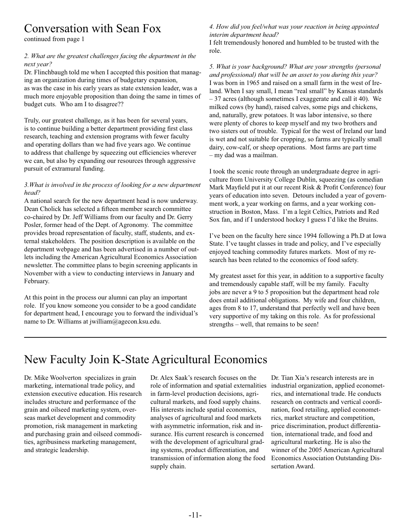### Conversation with Sean Fox

continued from page 1

#### *2. What are the greatest challenges facing the department in the next year?*

Dr. Flinchbaugh told me when I accepted this position that managing an organization during times of budgetary expansion, as was the case in his early years as state extension leader, was a much more enjoyable proposition than doing the same in times of budget cuts. Who am I to disagree??

Truly, our greatest challenge, as it has been for several years, is to continue building a better department providing first class research, teaching and extension programs with fewer faculty and operating dollars than we had five years ago. We continue to address that challenge by squeezing out efficiencies wherever we can, but also by expanding our resources through aggressive pursuit of extramural funding.

#### *3.What is involved in the process of looking for a new department head?*

A national search for the new department head is now underway. Dean Cholick has selected a fifteen member search committee co-chaired by Dr. Jeff Williams from our faculty and Dr. Gerry Posler, former head of the Dept. of Agronomy. The committee provides broad representation of faculty, staff, students, and external stakeholders. The position description is available on the department webpage and has been advertised in a number of outlets including the American Agricultural Economics Association newsletter. The committee plans to begin screening applicants in November with a view to conducting interviews in January and February.

At this point in the process our alumni can play an important role. If you know someone you consider to be a good candidate for department head, I encourage you to forward the individual's name to Dr. Williams at jwilliam@agecon.ksu.edu.

#### *4. How did you feel/what was your reaction in being appointed interim department head?*

I felt tremendously honored and humbled to be trusted with the role.

*5. What is your background? What are your strengths (personal and professional) that will be an asset to you during this year?* I was born in 1965 and raised on a small farm in the west of Ireland. When I say small, I mean "real small" by Kansas standards – 37 acres (although sometimes I exaggerate and call it 40). We milked cows (by hand), raised calves, some pigs and chickens, and, naturally, grew potatoes. It was labor intensive, so there were plenty of chores to keep myself and my two brothers and two sisters out of trouble. Typical for the west of Ireland our land is wet and not suitable for cropping, so farms are typically small dairy, cow-calf, or sheep operations. Most farms are part time – my dad was a mailman.

I took the scenic route through an undergraduate degree in agriculture from University College Dublin, squeezing (as comedian Mark Mayfield put it at our recent Risk & Profit Conference) four years of education into seven. Detours included a year of government work, a year working on farms, and a year working construction in Boston, Mass. I'm a legit Celtics, Patriots and Red Sox fan, and if I understood hockey I guess I'd like the Bruins.

I've been on the faculty here since 1994 following a Ph.D at Iowa State. I've taught classes in trade and policy, and I've especially enjoyed teaching commodity futures markets. Most of my research has been related to the economics of food safety.

My greatest asset for this year, in addition to a supportive faculty and tremendously capable staff, will be my family. Faculty jobs are never a 9 to 5 proposition but the department head role does entail additional obligations. My wife and four children, ages from 8 to 17, understand that perfectly well and have been very supportive of my taking on this role. As for professional strengths – well, that remains to be seen!

## New Faculty Join K-State Agricultural Economics

Dr. Mike Woolverton specializes in grain marketing, international trade policy, and extension executive education. His research includes structure and performance of the grain and oilseed marketing system, overseas market development and commodity promotion, risk management in marketing and purchasing grain and oilseed commodities, agribusiness marketing management, and strategic leadership.

Dr. Alex Saak's research focuses on the role of information and spatial externalities in farm-level production decisions, agricultural markets, and food supply chains. His interests include spatial economics, analyses of agricultural and food markets with asymmetric information, risk and insurance. His current research is concerned with the development of agricultural grading systems, product differentiation, and transmission of information along the food supply chain.

Dr. Tian Xia's research interests are in industrial organization, applied econometrics, and international trade. He conducts research on contracts and vertical coordination, food retailing, applied econometrics, market structure and competition, price discrimination, product differentiation, international trade, and food and agricultural marketing. He is also the winner of the 2005 American Agricultural Economics Association Outstanding Dissertation Award.